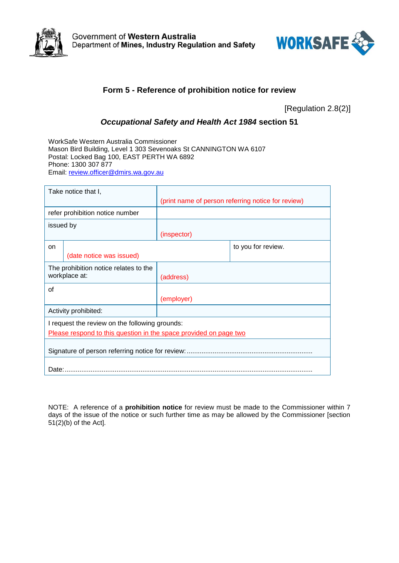



## **Form 5 - Reference of prohibition notice for review**

[Regulation 2.8(2)]

## *Occupational Safety and Health Act 1984* **section 51**

WorkSafe Western Australia Commissioner Mason Bird Building, Level 1 303 Sevenoaks St CANNINGTON WA 6107 Postal: Locked Bag 100, EAST PERTH WA 6892 Phone: 1300 307 877 Email: [review.officer@dmirs.wa.gov.au](mailto:review.officer@dmirs.wa.gov.au)

| Take notice that I,                                               |  |                                                    |                    |  |  |  |
|-------------------------------------------------------------------|--|----------------------------------------------------|--------------------|--|--|--|
|                                                                   |  | (print name of person referring notice for review) |                    |  |  |  |
| refer prohibition notice number                                   |  |                                                    |                    |  |  |  |
| issued by                                                         |  |                                                    |                    |  |  |  |
|                                                                   |  | (inspector)                                        |                    |  |  |  |
| on                                                                |  |                                                    | to you for review. |  |  |  |
| (date notice was issued)                                          |  |                                                    |                    |  |  |  |
| The prohibition notice relates to the                             |  |                                                    |                    |  |  |  |
| workplace at:                                                     |  | (address)                                          |                    |  |  |  |
| οf                                                                |  |                                                    |                    |  |  |  |
|                                                                   |  | (employer)                                         |                    |  |  |  |
| Activity prohibited:                                              |  |                                                    |                    |  |  |  |
| I request the review on the following grounds:                    |  |                                                    |                    |  |  |  |
| Please respond to this question in the space provided on page two |  |                                                    |                    |  |  |  |
|                                                                   |  |                                                    |                    |  |  |  |
|                                                                   |  |                                                    |                    |  |  |  |
| Date:                                                             |  |                                                    |                    |  |  |  |

NOTE: A reference of a **prohibition notice** for review must be made to the Commissioner within 7 days of the issue of the notice or such further time as may be allowed by the Commissioner [section  $51(2)$ (b) of the Act].